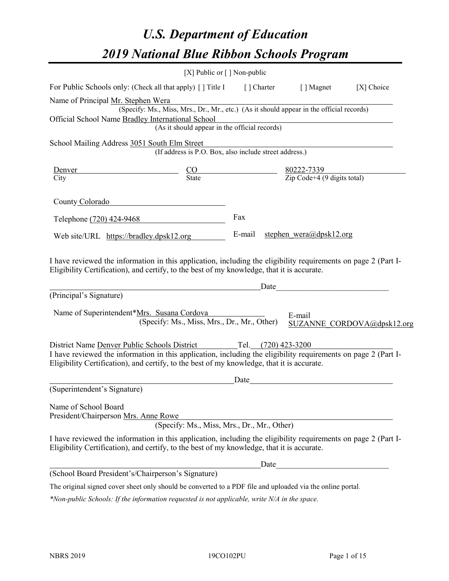# *U.S. Department of Education 2019 National Blue Ribbon Schools Program*

|                                                                                                                                                                                                              | [X] Public or $\lceil$ ] Non-public                                                      |                     |                                                         |                            |
|--------------------------------------------------------------------------------------------------------------------------------------------------------------------------------------------------------------|------------------------------------------------------------------------------------------|---------------------|---------------------------------------------------------|----------------------------|
| For Public Schools only: (Check all that apply) [] Title I                                                                                                                                                   |                                                                                          | [ ] Charter         | [ ] Magnet                                              | [X] Choice                 |
| Name of Principal Mr. Stephen Wera                                                                                                                                                                           |                                                                                          |                     |                                                         |                            |
|                                                                                                                                                                                                              | (Specify: Ms., Miss, Mrs., Dr., Mr., etc.) (As it should appear in the official records) |                     |                                                         |                            |
| Official School Name Bradley International School                                                                                                                                                            |                                                                                          |                     |                                                         |                            |
|                                                                                                                                                                                                              | (As it should appear in the official records)                                            |                     |                                                         |                            |
| School Mailing Address 3051 South Elm Street                                                                                                                                                                 |                                                                                          |                     |                                                         |                            |
|                                                                                                                                                                                                              | (If address is P.O. Box, also include street address.)                                   |                     |                                                         |                            |
| Denver                                                                                                                                                                                                       |                                                                                          |                     |                                                         |                            |
| $rac{CO}{State}$<br>City                                                                                                                                                                                     |                                                                                          |                     | $\frac{80222-7339}{\text{Zip Code}+4 (9 digits total)}$ |                            |
| County Colorado                                                                                                                                                                                              |                                                                                          |                     |                                                         |                            |
| Telephone (720) 424-9468                                                                                                                                                                                     |                                                                                          | Fax                 |                                                         |                            |
| Web site/URL https://bradley.dpsk12.org                                                                                                                                                                      |                                                                                          | E-mail              | stephen_wera@dpsk12.org                                 |                            |
| (Principal's Signature)                                                                                                                                                                                      |                                                                                          | Date                |                                                         |                            |
| Name of Superintendent*Mrs. Susana Cordova                                                                                                                                                                   | (Specify: Ms., Miss, Mrs., Dr., Mr., Other)                                              |                     | E-mail                                                  | SUZANNE CORDOVA@dpsk12.org |
| District Name Denver Public Schools District                                                                                                                                                                 |                                                                                          | Tel. (720) 423-3200 |                                                         |                            |
| I have reviewed the information in this application, including the eligibility requirements on page 2 (Part I-<br>Eligibility Certification), and certify, to the best of my knowledge, that it is accurate. |                                                                                          |                     |                                                         |                            |
|                                                                                                                                                                                                              |                                                                                          | Date                |                                                         |                            |
| (Superintendent's Signature)                                                                                                                                                                                 |                                                                                          |                     |                                                         |                            |
| Name of School Board<br>President/Chairperson Mrs. Anne Rowe                                                                                                                                                 | (Specify: Ms., Miss, Mrs., Dr., Mr., Other)                                              |                     |                                                         |                            |
| I have reviewed the information in this application, including the eligibility requirements on page 2 (Part I-<br>Eligibility Certification), and certify, to the best of my knowledge, that it is accurate. |                                                                                          |                     |                                                         |                            |
|                                                                                                                                                                                                              |                                                                                          | Date                |                                                         |                            |
| (School Board President's/Chairperson's Signature)                                                                                                                                                           |                                                                                          |                     |                                                         |                            |
| The original signed cover sheet only should be converted to a PDF file and uploaded via the online portal.                                                                                                   |                                                                                          |                     |                                                         |                            |

*\*Non-public Schools: If the information requested is not applicable, write N/A in the space.*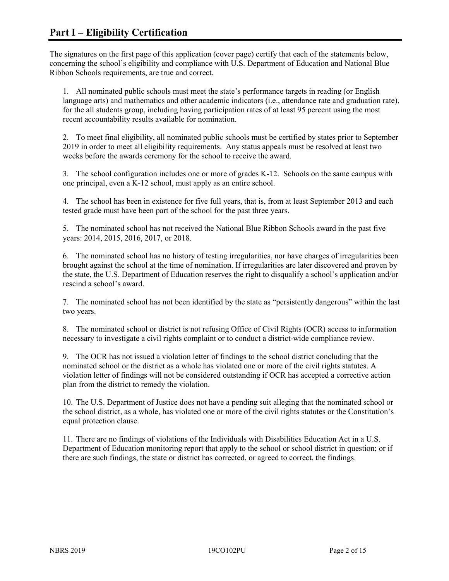The signatures on the first page of this application (cover page) certify that each of the statements below, concerning the school's eligibility and compliance with U.S. Department of Education and National Blue Ribbon Schools requirements, are true and correct.

1. All nominated public schools must meet the state's performance targets in reading (or English language arts) and mathematics and other academic indicators (i.e., attendance rate and graduation rate), for the all students group, including having participation rates of at least 95 percent using the most recent accountability results available for nomination.

2. To meet final eligibility, all nominated public schools must be certified by states prior to September 2019 in order to meet all eligibility requirements. Any status appeals must be resolved at least two weeks before the awards ceremony for the school to receive the award.

3. The school configuration includes one or more of grades K-12. Schools on the same campus with one principal, even a K-12 school, must apply as an entire school.

4. The school has been in existence for five full years, that is, from at least September 2013 and each tested grade must have been part of the school for the past three years.

5. The nominated school has not received the National Blue Ribbon Schools award in the past five years: 2014, 2015, 2016, 2017, or 2018.

6. The nominated school has no history of testing irregularities, nor have charges of irregularities been brought against the school at the time of nomination. If irregularities are later discovered and proven by the state, the U.S. Department of Education reserves the right to disqualify a school's application and/or rescind a school's award.

7. The nominated school has not been identified by the state as "persistently dangerous" within the last two years.

8. The nominated school or district is not refusing Office of Civil Rights (OCR) access to information necessary to investigate a civil rights complaint or to conduct a district-wide compliance review.

9. The OCR has not issued a violation letter of findings to the school district concluding that the nominated school or the district as a whole has violated one or more of the civil rights statutes. A violation letter of findings will not be considered outstanding if OCR has accepted a corrective action plan from the district to remedy the violation.

10. The U.S. Department of Justice does not have a pending suit alleging that the nominated school or the school district, as a whole, has violated one or more of the civil rights statutes or the Constitution's equal protection clause.

11. There are no findings of violations of the Individuals with Disabilities Education Act in a U.S. Department of Education monitoring report that apply to the school or school district in question; or if there are such findings, the state or district has corrected, or agreed to correct, the findings.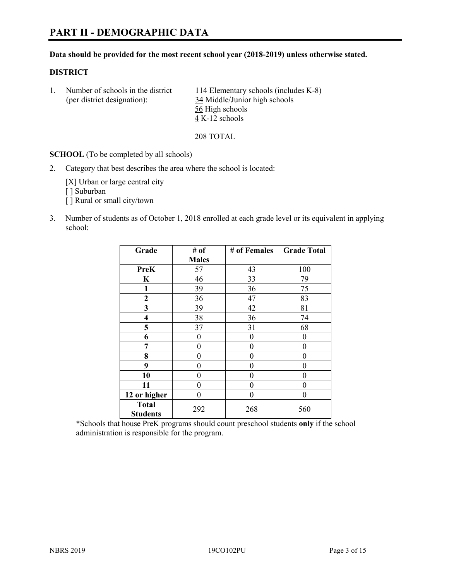## **PART II - DEMOGRAPHIC DATA**

#### **Data should be provided for the most recent school year (2018-2019) unless otherwise stated.**

#### **DISTRICT**

| Number of schools in the district<br>(per district designation): | 114 Elementary schools (includes K-8)<br>34 Middle/Junior high schools |
|------------------------------------------------------------------|------------------------------------------------------------------------|
|                                                                  | 56 High schools                                                        |
|                                                                  | 4 K-12 schools                                                         |

208 TOTAL

**SCHOOL** (To be completed by all schools)

2. Category that best describes the area where the school is located:

[X] Urban or large central city [] Suburban [] Rural or small city/town

3. Number of students as of October 1, 2018 enrolled at each grade level or its equivalent in applying school:

| Grade                           | # of         | # of Females | <b>Grade Total</b> |  |
|---------------------------------|--------------|--------------|--------------------|--|
|                                 | <b>Males</b> |              |                    |  |
| <b>PreK</b>                     | 57           | 43           | 100                |  |
| K                               | 46           | 33           | 79                 |  |
| $\mathbf{1}$                    | 39           | 36           | 75                 |  |
| $\mathbf{2}$                    | 36           | 47           | 83                 |  |
| 3                               | 39           | 42           | 81                 |  |
| 4                               | 38           | 36           | 74                 |  |
| 5                               | 37           | 31           | 68                 |  |
| 6                               | 0            | $\theta$     | 0                  |  |
| 7                               | 0            | 0            | 0                  |  |
| 8                               | 0            | $\theta$     | 0                  |  |
| 9                               | 0            | 0            | 0                  |  |
| 10                              | 0            | $\theta$     | 0                  |  |
| 11                              | 0            | $\theta$     | $\theta$           |  |
| 12 or higher                    | 0            | 0            | 0                  |  |
| <b>Total</b><br><b>Students</b> | 292          | 268          | 560                |  |

\*Schools that house PreK programs should count preschool students **only** if the school administration is responsible for the program.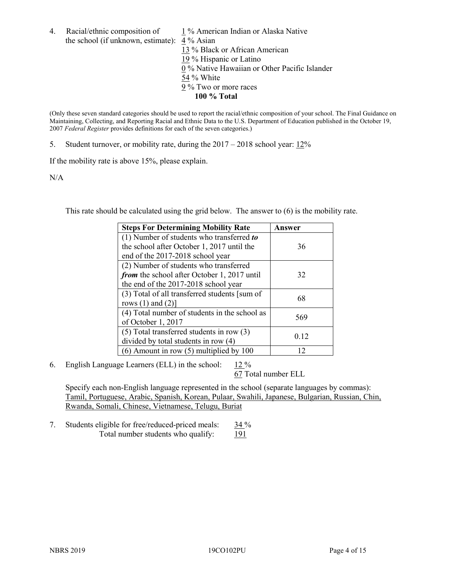4. Racial/ethnic composition of  $1\%$  American Indian or Alaska Native the school (if unknown, estimate): 4 % Asian 13 % Black or African American 19 % Hispanic or Latino  $\overline{0\%}$  Native Hawaiian or Other Pacific Islander 54 % White 9 % Two or more races **100 % Total**

(Only these seven standard categories should be used to report the racial/ethnic composition of your school. The Final Guidance on Maintaining, Collecting, and Reporting Racial and Ethnic Data to the U.S. Department of Education published in the October 19, 2007 *Federal Register* provides definitions for each of the seven categories.)

5. Student turnover, or mobility rate, during the 2017 – 2018 school year: 12%

If the mobility rate is above 15%, please explain.

N/A

This rate should be calculated using the grid below. The answer to (6) is the mobility rate.

| <b>Steps For Determining Mobility Rate</b>    | Answer |
|-----------------------------------------------|--------|
| $(1)$ Number of students who transferred to   |        |
| the school after October 1, 2017 until the    | 36     |
| end of the 2017-2018 school year              |        |
| (2) Number of students who transferred        |        |
| from the school after October 1, 2017 until   | 32     |
| the end of the 2017-2018 school year          |        |
| (3) Total of all transferred students [sum of | 68     |
| rows $(1)$ and $(2)$ ]                        |        |
| (4) Total number of students in the school as | 569    |
| of October 1, 2017                            |        |
| $(5)$ Total transferred students in row $(3)$ |        |
| divided by total students in row (4)          | 0.12   |
| (6) Amount in row (5) multiplied by 100       | 12     |

6. English Language Learners (ELL) in the school:  $12\%$ 

67 Total number ELL

Specify each non-English language represented in the school (separate languages by commas): Tamil, Portuguese, Arabic, Spanish, Korean, Pulaar, Swahili, Japanese, Bulgarian, Russian, Chin, Rwanda, Somali, Chinese, Vietnamese, Telugu, Buriat

7. Students eligible for free/reduced-priced meals: 34 % Total number students who qualify: 191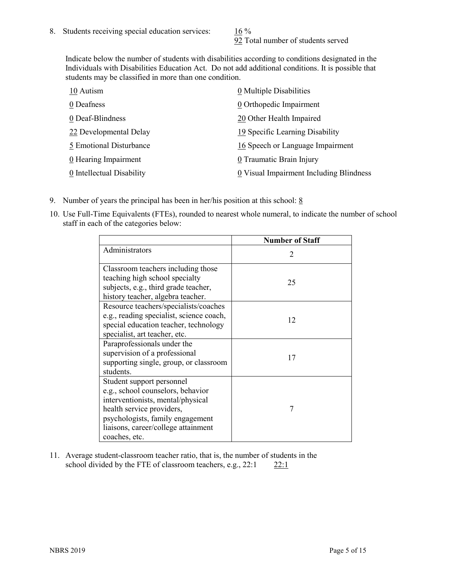92 Total number of students served

Indicate below the number of students with disabilities according to conditions designated in the Individuals with Disabilities Education Act. Do not add additional conditions. It is possible that students may be classified in more than one condition.

| 10 Autism                 | 0 Multiple Disabilities                 |
|---------------------------|-----------------------------------------|
| 0 Deafness                | 0 Orthopedic Impairment                 |
| 0 Deaf-Blindness          | 20 Other Health Impaired                |
| 22 Developmental Delay    | 19 Specific Learning Disability         |
| 5 Emotional Disturbance   | 16 Speech or Language Impairment        |
| 0 Hearing Impairment      | 0 Traumatic Brain Injury                |
| 0 Intellectual Disability | 0 Visual Impairment Including Blindness |

- 9. Number of years the principal has been in her/his position at this school:  $8$
- 10. Use Full-Time Equivalents (FTEs), rounded to nearest whole numeral, to indicate the number of school staff in each of the categories below:

|                                                                                                                                                                                                                              | <b>Number of Staff</b>      |
|------------------------------------------------------------------------------------------------------------------------------------------------------------------------------------------------------------------------------|-----------------------------|
| Administrators                                                                                                                                                                                                               | $\mathcal{D}_{\mathcal{L}}$ |
| Classroom teachers including those<br>teaching high school specialty<br>subjects, e.g., third grade teacher,<br>history teacher, algebra teacher.                                                                            | 25                          |
| Resource teachers/specialists/coaches<br>e.g., reading specialist, science coach,<br>special education teacher, technology<br>specialist, art teacher, etc.                                                                  | 12                          |
| Paraprofessionals under the<br>supervision of a professional<br>supporting single, group, or classroom<br>students.                                                                                                          | 17                          |
| Student support personnel<br>e.g., school counselors, behavior<br>interventionists, mental/physical<br>health service providers,<br>psychologists, family engagement<br>liaisons, career/college attainment<br>coaches, etc. | 7                           |

11. Average student-classroom teacher ratio, that is, the number of students in the school divided by the FTE of classroom teachers, e.g.,  $22:1$  22:1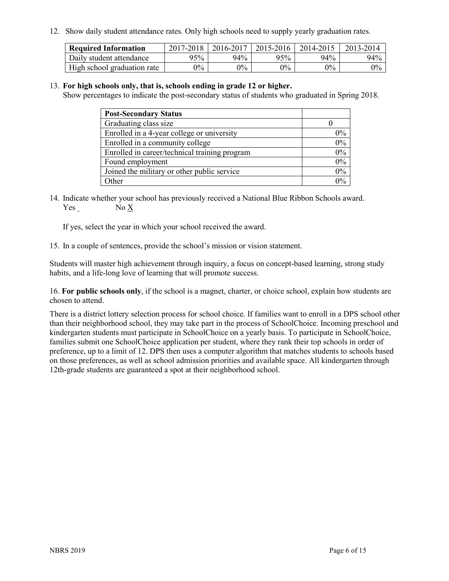12. Show daily student attendance rates. Only high schools need to supply yearly graduation rates.

| <b>Required Information</b> | 2017-2018 | 2016-2017 | 2015-2016 | 2014-2015 | 2013-2014 |
|-----------------------------|-----------|-----------|-----------|-----------|-----------|
| Daily student attendance    | 95%       | 94%       | 95%       | 94%       | 94%       |
| High school graduation rate | $0\%$     | $0\%$     | $0\%$     | $9\%$     | $0\%$     |

#### 13. **For high schools only, that is, schools ending in grade 12 or higher.**

Show percentages to indicate the post-secondary status of students who graduated in Spring 2018.

| <b>Post-Secondary Status</b>                  |           |
|-----------------------------------------------|-----------|
| Graduating class size                         |           |
| Enrolled in a 4-year college or university    | $0\%$     |
| Enrolled in a community college               | 0%        |
| Enrolled in career/technical training program | $0\%$     |
| Found employment                              | 0%        |
| Joined the military or other public service   | 0%        |
| Other                                         | በዓ $\sim$ |

14. Indicate whether your school has previously received a National Blue Ribbon Schools award. Yes No X

If yes, select the year in which your school received the award.

15. In a couple of sentences, provide the school's mission or vision statement.

Students will master high achievement through inquiry, a focus on concept-based learning, strong study habits, and a life-long love of learning that will promote success.

16. **For public schools only**, if the school is a magnet, charter, or choice school, explain how students are chosen to attend.

There is a district lottery selection process for school choice. If families want to enroll in a DPS school other than their neighborhood school, they may take part in the process of SchoolChoice. Incoming preschool and kindergarten students must participate in SchoolChoice on a yearly basis. To participate in SchoolChoice, families submit one SchoolChoice application per student, where they rank their top schools in order of preference, up to a limit of 12. DPS then uses a computer algorithm that matches students to schools based on those preferences, as well as school admission priorities and available space. All kindergarten through 12th-grade students are guaranteed a spot at their neighborhood school.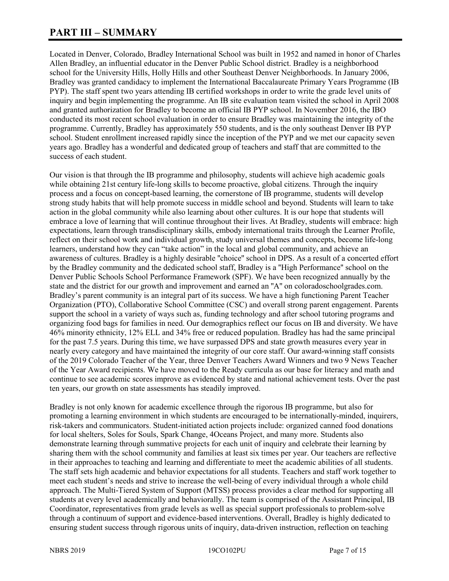## **PART III – SUMMARY**

Located in Denver, Colorado, Bradley International School was built in 1952 and named in honor of Charles Allen Bradley, an influential educator in the Denver Public School district. Bradley is a neighborhood school for the University Hills, Holly Hills and other Southeast Denver Neighborhoods. In January 2006, Bradley was granted candidacy to implement the International Baccalaureate Primary Years Programme (IB PYP). The staff spent two years attending IB certified workshops in order to write the grade level units of inquiry and begin implementing the programme. An IB site evaluation team visited the school in April 2008 and granted authorization for Bradley to become an official IB PYP school. In November 2016, the IBO conducted its most recent school evaluation in order to ensure Bradley was maintaining the integrity of the programme. Currently, Bradley has approximately 550 students, and is the only southeast Denver IB PYP school. Student enrollment increased rapidly since the inception of the PYP and we met our capacity seven years ago. Bradley has a wonderful and dedicated group of teachers and staff that are committed to the success of each student.

Our vision is that through the IB programme and philosophy, students will achieve high academic goals while obtaining 21st century life-long skills to become proactive, global citizens. Through the inquiry process and a focus on concept-based learning, the cornerstone of IB programme, students will develop strong study habits that will help promote success in middle school and beyond. Students will learn to take action in the global community while also learning about other cultures. It is our hope that students will embrace a love of learning that will continue throughout their lives. At Bradley, students will embrace: high expectations, learn through transdisciplinary skills, embody international traits through the Learner Profile, reflect on their school work and individual growth, study universal themes and concepts, become life-long learners, understand how they can "take action" in the local and global community, and achieve an awareness of cultures. Bradley is a highly desirable ''choice'' school in DPS. As a result of a concerted effort by the Bradley community and the dedicated school staff, Bradley is a ''High Performance'' school on the Denver Public Schools School Performance Framework (SPF). We have been recognized annually by the state and the district for our growth and improvement and earned an ''A'' on coloradoschoolgrades.com. Bradley's parent community is an integral part of its success. We have a high functioning Parent Teacher Organization (PTO), Collaborative School Committee (CSC) and overall strong parent engagement. Parents support the school in a variety of ways such as, funding technology and after school tutoring programs and organizing food bags for families in need. Our demographics reflect our focus on IB and diversity. We have 46% minority ethnicity, 12% ELL and 34% free or reduced population. Bradley has had the same principal for the past 7.5 years. During this time, we have surpassed DPS and state growth measures every year in nearly every category and have maintained the integrity of our core staff. Our award-winning staff consists of the 2019 Colorado Teacher of the Year, three Denver Teachers Award Winners and two 9 News Teacher of the Year Award recipients. We have moved to the Ready curricula as our base for literacy and math and continue to see academic scores improve as evidenced by state and national achievement tests. Over the past ten years, our growth on state assessments has steadily improved.

Bradley is not only known for academic excellence through the rigorous IB programme, but also for promoting a learning environment in which students are encouraged to be internationally-minded, inquirers, risk-takers and communicators. Student-initiated action projects include: organized canned food donations for local shelters, Soles for Souls, Spark Change, 4Oceans Project, and many more. Students also demonstrate learning through summative projects for each unit of inquiry and celebrate their learning by sharing them with the school community and families at least six times per year. Our teachers are reflective in their approaches to teaching and learning and differentiate to meet the academic abilities of all students. The staff sets high academic and behavior expectations for all students. Teachers and staff work together to meet each student's needs and strive to increase the well-being of every individual through a whole child approach. The Multi-Tiered System of Support (MTSS) process provides a clear method for supporting all students at every level academically and behaviorally. The team is comprised of the Assistant Principal, IB Coordinator, representatives from grade levels as well as special support professionals to problem-solve through a continuum of support and evidence-based interventions. Overall, Bradley is highly dedicated to ensuring student success through rigorous units of inquiry, data-driven instruction, reflection on teaching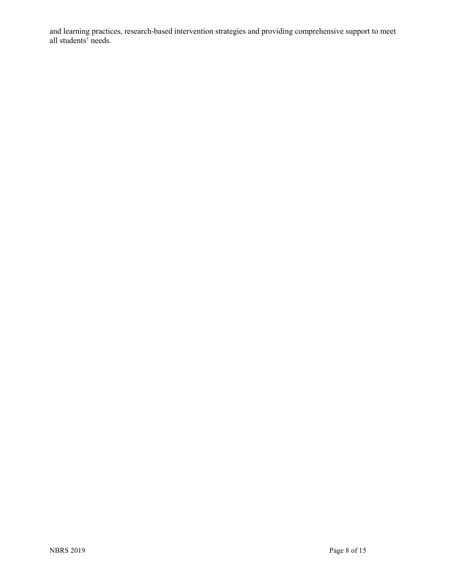and learning practices, research-based intervention strategies and providing comprehensive support to meet all students' needs.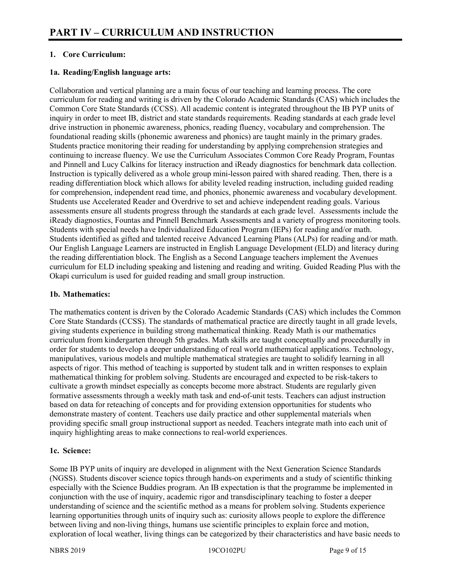#### **1. Core Curriculum:**

#### **1a. Reading/English language arts:**

Collaboration and vertical planning are a main focus of our teaching and learning process. The core curriculum for reading and writing is driven by the Colorado Academic Standards (CAS) which includes the Common Core State Standards (CCSS). All academic content is integrated throughout the IB PYP units of inquiry in order to meet IB, district and state standards requirements. Reading standards at each grade level drive instruction in phonemic awareness, phonics, reading fluency, vocabulary and comprehension. The foundational reading skills (phonemic awareness and phonics) are taught mainly in the primary grades. Students practice monitoring their reading for understanding by applying comprehension strategies and continuing to increase fluency. We use the Curriculum Associates Common Core Ready Program, Fountas and Pinnell and Lucy Calkins for literacy instruction and iReady diagnostics for benchmark data collection. Instruction is typically delivered as a whole group mini-lesson paired with shared reading. Then, there is a reading differentiation block which allows for ability leveled reading instruction, including guided reading for comprehension, independent read time, and phonics, phonemic awareness and vocabulary development. Students use Accelerated Reader and Overdrive to set and achieve independent reading goals. Various assessments ensure all students progress through the standards at each grade level. Assessments include the iReady diagnostics, Fountas and Pinnell Benchmark Assessments and a variety of progress monitoring tools. Students with special needs have Individualized Education Program (IEPs) for reading and/or math. Students identified as gifted and talented receive Advanced Learning Plans (ALPs) for reading and/or math. Our English Language Learners are instructed in English Language Development (ELD) and literacy during the reading differentiation block. The English as a Second Language teachers implement the Avenues curriculum for ELD including speaking and listening and reading and writing. Guided Reading Plus with the Okapi curriculum is used for guided reading and small group instruction.

#### **1b. Mathematics:**

The mathematics content is driven by the Colorado Academic Standards (CAS) which includes the Common Core State Standards (CCSS). The standards of mathematical practice are directly taught in all grade levels, giving students experience in building strong mathematical thinking. Ready Math is our mathematics curriculum from kindergarten through 5th grades. Math skills are taught conceptually and procedurally in order for students to develop a deeper understanding of real world mathematical applications. Technology, manipulatives, various models and multiple mathematical strategies are taught to solidify learning in all aspects of rigor. This method of teaching is supported by student talk and in written responses to explain mathematical thinking for problem solving. Students are encouraged and expected to be risk-takers to cultivate a growth mindset especially as concepts become more abstract. Students are regularly given formative assessments through a weekly math task and end-of-unit tests. Teachers can adjust instruction based on data for reteaching of concepts and for providing extension opportunities for students who demonstrate mastery of content. Teachers use daily practice and other supplemental materials when providing specific small group instructional support as needed. Teachers integrate math into each unit of inquiry highlighting areas to make connections to real-world experiences.

#### **1c. Science:**

Some IB PYP units of inquiry are developed in alignment with the Next Generation Science Standards (NGSS). Students discover science topics through hands-on experiments and a study of scientific thinking especially with the Science Buddies program. An IB expectation is that the programme be implemented in conjunction with the use of inquiry, academic rigor and transdisciplinary teaching to foster a deeper understanding of science and the scientific method as a means for problem solving. Students experience learning opportunities through units of inquiry such as: curiosity allows people to explore the difference between living and non-living things, humans use scientific principles to explain force and motion, exploration of local weather, living things can be categorized by their characteristics and have basic needs to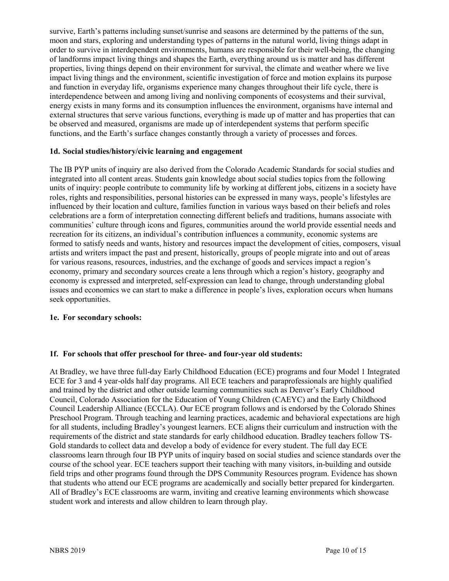survive, Earth's patterns including sunset/sunrise and seasons are determined by the patterns of the sun, moon and stars, exploring and understanding types of patterns in the natural world, living things adapt in order to survive in interdependent environments, humans are responsible for their well-being, the changing of landforms impact living things and shapes the Earth, everything around us is matter and has different properties, living things depend on their environment for survival, the climate and weather where we live impact living things and the environment, scientific investigation of force and motion explains its purpose and function in everyday life, organisms experience many changes throughout their life cycle, there is interdependence between and among living and nonliving components of ecosystems and their survival, energy exists in many forms and its consumption influences the environment, organisms have internal and external structures that serve various functions, everything is made up of matter and has properties that can be observed and measured, organisms are made up of interdependent systems that perform specific functions, and the Earth's surface changes constantly through a variety of processes and forces.

#### **1d. Social studies/history/civic learning and engagement**

The IB PYP units of inquiry are also derived from the Colorado Academic Standards for social studies and integrated into all content areas. Students gain knowledge about social studies topics from the following units of inquiry: people contribute to community life by working at different jobs, citizens in a society have roles, rights and responsibilities, personal histories can be expressed in many ways, people's lifestyles are influenced by their location and culture, families function in various ways based on their beliefs and roles celebrations are a form of interpretation connecting different beliefs and traditions, humans associate with communities' culture through icons and figures, communities around the world provide essential needs and recreation for its citizens, an individual's contribution influences a community, economic systems are formed to satisfy needs and wants, history and resources impact the development of cities, composers, visual artists and writers impact the past and present, historically, groups of people migrate into and out of areas for various reasons, resources, industries, and the exchange of goods and services impact a region's economy, primary and secondary sources create a lens through which a region's history, geography and economy is expressed and interpreted, self-expression can lead to change, through understanding global issues and economics we can start to make a difference in people's lives, exploration occurs when humans seek opportunities.

#### **1e. For secondary schools:**

#### **1f. For schools that offer preschool for three- and four-year old students:**

At Bradley, we have three full-day Early Childhood Education (ECE) programs and four Model 1 Integrated ECE for 3 and 4 year-olds half day programs. All ECE teachers and paraprofessionals are highly qualified and trained by the district and other outside learning communities such as Denver's Early Childhood Council, Colorado Association for the Education of Young Children (CAEYC) and the Early Childhood Council Leadership Alliance (ECCLA). Our ECE program follows and is endorsed by the Colorado Shines Preschool Program. Through teaching and learning practices, academic and behavioral expectations are high for all students, including Bradley's youngest learners. ECE aligns their curriculum and instruction with the requirements of the district and state standards for early childhood education. Bradley teachers follow TS-Gold standards to collect data and develop a body of evidence for every student. The full day ECE classrooms learn through four IB PYP units of inquiry based on social studies and science standards over the course of the school year. ECE teachers support their teaching with many visitors, in-building and outside field trips and other programs found through the DPS Community Resources program. Evidence has shown that students who attend our ECE programs are academically and socially better prepared for kindergarten. All of Bradley's ECE classrooms are warm, inviting and creative learning environments which showcase student work and interests and allow children to learn through play.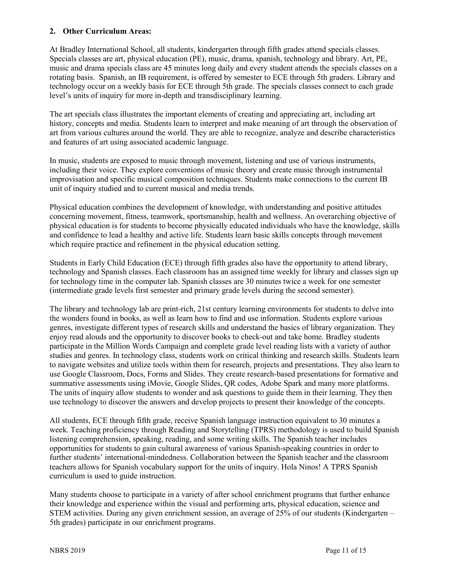#### **2. Other Curriculum Areas:**

At Bradley International School, all students, kindergarten through fifth grades attend specials classes. Specials classes are art, physical education (PE), music, drama, spanish, technology and library. Art, PE, music and drama specials class are 45 minutes long daily and every student attends the specials classes on a rotating basis. Spanish, an IB requirement, is offered by semester to ECE through 5th graders. Library and technology occur on a weekly basis for ECE through 5th grade. The specials classes connect to each grade level's units of inquiry for more in-depth and transdisciplinary learning.

The art specials class illustrates the important elements of creating and appreciating art, including art history, concepts and media. Students learn to interpret and make meaning of art through the observation of art from various cultures around the world. They are able to recognize, analyze and describe characteristics and features of art using associated academic language.

In music, students are exposed to music through movement, listening and use of various instruments, including their voice. They explore conventions of music theory and create music through instrumental improvisation and specific musical composition techniques. Students make connections to the current IB unit of inquiry studied and to current musical and media trends.

Physical education combines the development of knowledge, with understanding and positive attitudes concerning movement, fitness, teamwork, sportsmanship, health and wellness. An overarching objective of physical education is for students to become physically educated individuals who have the knowledge, skills and confidence to lead a healthy and active life. Students learn basic skills concepts through movement which require practice and refinement in the physical education setting.

Students in Early Child Education (ECE) through fifth grades also have the opportunity to attend library, technology and Spanish classes. Each classroom has an assigned time weekly for library and classes sign up for technology time in the computer lab. Spanish classes are 30 minutes twice a week for one semester (intermediate grade levels first semester and primary grade levels during the second semester).

The library and technology lab are print-rich, 21st century learning environments for students to delve into the wonders found in books, as well as learn how to find and use information. Students explore various genres, investigate different types of research skills and understand the basics of library organization. They enjoy read alouds and the opportunity to discover books to check-out and take home. Bradley students participate in the Million Words Campaign and complete grade level reading lists with a variety of author studies and genres. In technology class, students work on critical thinking and research skills. Students learn to navigate websites and utilize tools within them for research, projects and presentations. They also learn to use Google Classroom, Docs, Forms and Slides. They create research-based presentations for formative and summative assessments using iMovie, Google Slides, QR codes, Adobe Spark and many more platforms. The units of inquiry allow students to wonder and ask questions to guide them in their learning. They then use technology to discover the answers and develop projects to present their knowledge of the concepts.

All students, ECE through fifth grade, receive Spanish language instruction equivalent to 30 minutes a week. Teaching proficiency through Reading and Storytelling (TPRS) methodology is used to build Spanish listening comprehension, speaking, reading, and some writing skills. The Spanish teacher includes opportunities for students to gain cultural awareness of various Spanish-speaking countries in order to further students' international-mindedness. Collaboration between the Spanish teacher and the classroom teachers allows for Spanish vocabulary support for the units of inquiry. Hola Ninos! A TPRS Spanish curriculum is used to guide instruction.

Many students choose to participate in a variety of after school enrichment programs that further enhance their knowledge and experience within the visual and performing arts, physical education, science and STEM activities. During any given enrichment session, an average of 25% of our students (Kindergarten – 5th grades) participate in our enrichment programs.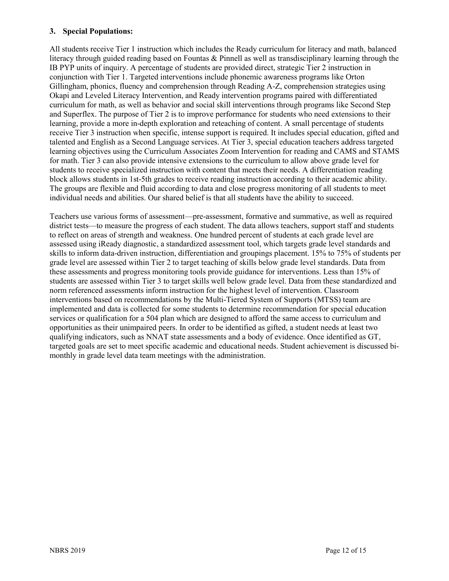#### **3. Special Populations:**

All students receive Tier 1 instruction which includes the Ready curriculum for literacy and math, balanced literacy through guided reading based on Fountas & Pinnell as well as transdisciplinary learning through the IB PYP units of inquiry. A percentage of students are provided direct, strategic Tier 2 instruction in conjunction with Tier 1. Targeted interventions include phonemic awareness programs like Orton Gillingham, phonics, fluency and comprehension through Reading A-Z, comprehension strategies using Okapi and Leveled Literacy Intervention, and Ready intervention programs paired with differentiated curriculum for math, as well as behavior and social skill interventions through programs like Second Step and Superflex. The purpose of Tier 2 is to improve performance for students who need extensions to their learning, provide a more in-depth exploration and reteaching of content. A small percentage of students receive Tier 3 instruction when specific, intense support is required. It includes special education, gifted and talented and English as a Second Language services. At Tier 3, special education teachers address targeted learning objectives using the Curriculum Associates Zoom Intervention for reading and CAMS and STAMS for math. Tier 3 can also provide intensive extensions to the curriculum to allow above grade level for students to receive specialized instruction with content that meets their needs. A differentiation reading block allows students in 1st-5th grades to receive reading instruction according to their academic ability. The groups are flexible and fluid according to data and close progress monitoring of all students to meet individual needs and abilities. Our shared belief is that all students have the ability to succeed.

Teachers use various forms of assessment—pre-assessment, formative and summative, as well as required district tests—to measure the progress of each student. The data allows teachers, support staff and students to reflect on areas of strength and weakness. One hundred percent of students at each grade level are assessed using iReady diagnostic, a standardized assessment tool, which targets grade level standards and skills to inform data-driven instruction, differentiation and groupings placement. 15% to 75% of students per grade level are assessed within Tier 2 to target teaching of skills below grade level standards. Data from these assessments and progress monitoring tools provide guidance for interventions. Less than 15% of students are assessed within Tier 3 to target skills well below grade level. Data from these standardized and norm referenced assessments inform instruction for the highest level of intervention. Classroom interventions based on recommendations by the Multi-Tiered System of Supports (MTSS) team are implemented and data is collected for some students to determine recommendation for special education services or qualification for a 504 plan which are designed to afford the same access to curriculum and opportunities as their unimpaired peers. In order to be identified as gifted, a student needs at least two qualifying indicators, such as NNAT state assessments and a body of evidence. Once identified as GT, targeted goals are set to meet specific academic and educational needs. Student achievement is discussed bimonthly in grade level data team meetings with the administration.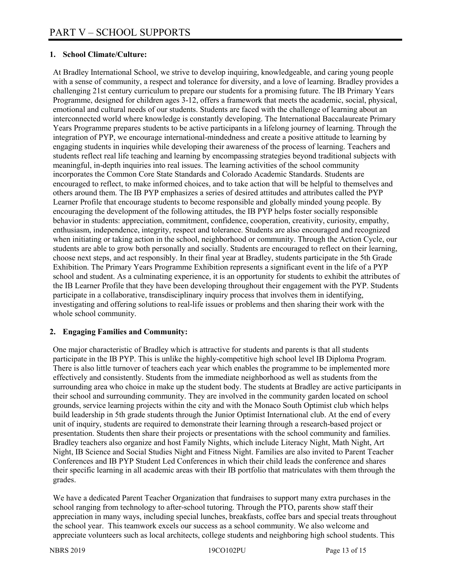#### **1. School Climate/Culture:**

At Bradley International School, we strive to develop inquiring, knowledgeable, and caring young people with a sense of community, a respect and tolerance for diversity, and a love of learning. Bradley provides a challenging 21st century curriculum to prepare our students for a promising future. The IB Primary Years Programme, designed for children ages 3-12, offers a framework that meets the academic, social, physical, emotional and cultural needs of our students. Students are faced with the challenge of learning about an interconnected world where knowledge is constantly developing. The International Baccalaureate Primary Years Programme prepares students to be active participants in a lifelong journey of learning. Through the integration of PYP, we encourage international-mindedness and create a positive attitude to learning by engaging students in inquiries while developing their awareness of the process of learning. Teachers and students reflect real life teaching and learning by encompassing strategies beyond traditional subjects with meaningful, in-depth inquiries into real issues. The learning activities of the school community incorporates the Common Core State Standards and Colorado Academic Standards. Students are encouraged to reflect, to make informed choices, and to take action that will be helpful to themselves and others around them. The IB PYP emphasizes a series of desired attitudes and attributes called the PYP Learner Profile that encourage students to become responsible and globally minded young people. By encouraging the development of the following attitudes, the IB PYP helps foster socially responsible behavior in students: appreciation, commitment, confidence, cooperation, creativity, curiosity, empathy, enthusiasm, independence, integrity, respect and tolerance. Students are also encouraged and recognized when initiating or taking action in the school, neighborhood or community. Through the Action Cycle, our students are able to grow both personally and socially. Students are encouraged to reflect on their learning, choose next steps, and act responsibly. In their final year at Bradley, students participate in the 5th Grade Exhibition. The Primary Years Programme Exhibition represents a significant event in the life of a PYP school and student. As a culminating experience, it is an opportunity for students to exhibit the attributes of the IB Learner Profile that they have been developing throughout their engagement with the PYP. Students participate in a collaborative, transdisciplinary inquiry process that involves them in identifying, investigating and offering solutions to real-life issues or problems and then sharing their work with the whole school community.

#### **2. Engaging Families and Community:**

One major characteristic of Bradley which is attractive for students and parents is that all students participate in the IB PYP. This is unlike the highly-competitive high school level IB Diploma Program. There is also little turnover of teachers each year which enables the programme to be implemented more effectively and consistently. Students from the immediate neighborhood as well as students from the surrounding area who choice in make up the student body. The students at Bradley are active participants in their school and surrounding community. They are involved in the community garden located on school grounds, service learning projects within the city and with the Monaco South Optimist club which helps build leadership in 5th grade students through the Junior Optimist International club. At the end of every unit of inquiry, students are required to demonstrate their learning through a research-based project or presentation. Students then share their projects or presentations with the school community and families. Bradley teachers also organize and host Family Nights, which include Literacy Night, Math Night, Art Night, IB Science and Social Studies Night and Fitness Night. Families are also invited to Parent Teacher Conferences and IB PYP Student Led Conferences in which their child leads the conference and shares their specific learning in all academic areas with their IB portfolio that matriculates with them through the grades.

We have a dedicated Parent Teacher Organization that fundraises to support many extra purchases in the school ranging from technology to after-school tutoring. Through the PTO, parents show staff their appreciation in many ways, including special lunches, breakfasts, coffee bars and special treats throughout the school year. This teamwork excels our success as a school community. We also welcome and appreciate volunteers such as local architects, college students and neighboring high school students. This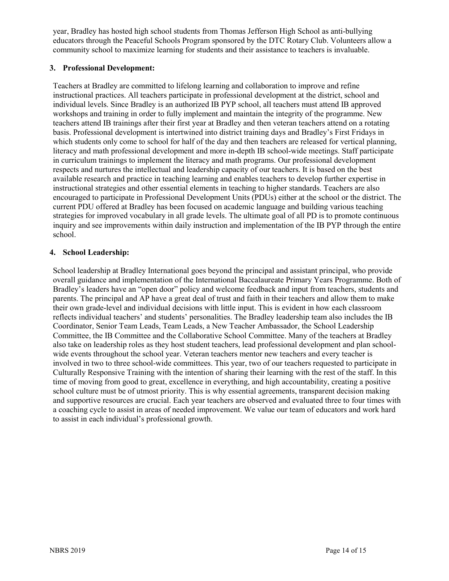year, Bradley has hosted high school students from Thomas Jefferson High School as anti-bullying educators through the Peaceful Schools Program sponsored by the DTC Rotary Club. Volunteers allow a community school to maximize learning for students and their assistance to teachers is invaluable.

#### **3. Professional Development:**

Teachers at Bradley are committed to lifelong learning and collaboration to improve and refine instructional practices. All teachers participate in professional development at the district, school and individual levels. Since Bradley is an authorized IB PYP school, all teachers must attend IB approved workshops and training in order to fully implement and maintain the integrity of the programme. New teachers attend IB trainings after their first year at Bradley and then veteran teachers attend on a rotating basis. Professional development is intertwined into district training days and Bradley's First Fridays in which students only come to school for half of the day and then teachers are released for vertical planning, literacy and math professional development and more in-depth IB school-wide meetings. Staff participate in curriculum trainings to implement the literacy and math programs. Our professional development respects and nurtures the intellectual and leadership capacity of our teachers. It is based on the best available research and practice in teaching learning and enables teachers to develop further expertise in instructional strategies and other essential elements in teaching to higher standards. Teachers are also encouraged to participate in Professional Development Units (PDUs) either at the school or the district. The current PDU offered at Bradley has been focused on academic language and building various teaching strategies for improved vocabulary in all grade levels. The ultimate goal of all PD is to promote continuous inquiry and see improvements within daily instruction and implementation of the IB PYP through the entire school.

#### **4. School Leadership:**

School leadership at Bradley International goes beyond the principal and assistant principal, who provide overall guidance and implementation of the International Baccalaureate Primary Years Programme. Both of Bradley's leaders have an "open door" policy and welcome feedback and input from teachers, students and parents. The principal and AP have a great deal of trust and faith in their teachers and allow them to make their own grade-level and individual decisions with little input. This is evident in how each classroom reflects individual teachers' and students' personalities. The Bradley leadership team also includes the IB Coordinator, Senior Team Leads, Team Leads, a New Teacher Ambassador, the School Leadership Committee, the IB Committee and the Collaborative School Committee. Many of the teachers at Bradley also take on leadership roles as they host student teachers, lead professional development and plan schoolwide events throughout the school year. Veteran teachers mentor new teachers and every teacher is involved in two to three school-wide committees. This year, two of our teachers requested to participate in Culturally Responsive Training with the intention of sharing their learning with the rest of the staff. In this time of moving from good to great, excellence in everything, and high accountability, creating a positive school culture must be of utmost priority. This is why essential agreements, transparent decision making and supportive resources are crucial. Each year teachers are observed and evaluated three to four times with a coaching cycle to assist in areas of needed improvement. We value our team of educators and work hard to assist in each individual's professional growth.